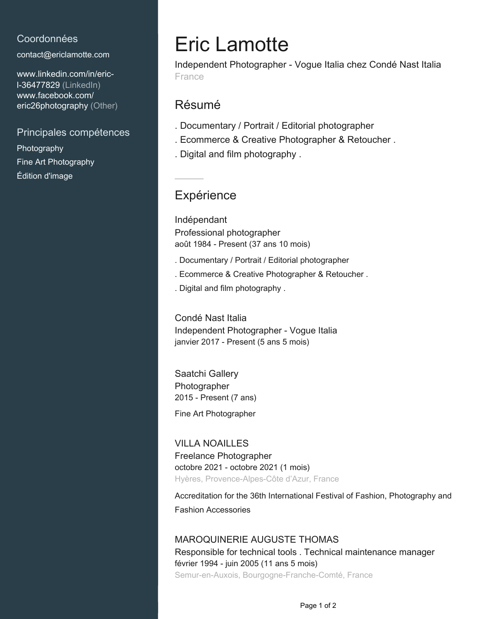## Coordonnées

[contact@ericlamotte.com](mailto:contact@ericlamotte.com)

[www.linkedin.com/in/eric](https://www.linkedin.com/in/eric-l-36477829?jobid=1234&lipi=urn%3Ali%3Apage%3Ad_jobs_easyapply_pdfgenresume%3BHQ0Fz3xpS5O%2BrS6HO8sXBw%3D%3D&licu=urn%3Ali%3Acontrol%3Ad_jobs_easyapply_pdfgenresume-v02_profile)[l-36477829 \(LinkedIn\)](https://www.linkedin.com/in/eric-l-36477829?jobid=1234&lipi=urn%3Ali%3Apage%3Ad_jobs_easyapply_pdfgenresume%3BHQ0Fz3xpS5O%2BrS6HO8sXBw%3D%3D&licu=urn%3Ali%3Acontrol%3Ad_jobs_easyapply_pdfgenresume-v02_profile) [www.facebook.com/](https://www.facebook.com/eric26photography) [eric26photography \(Other\)](https://www.facebook.com/eric26photography)

## Principales compétences

Photography Fine Art Photography Édition d'image

# Eric Lamotte

Independent Photographer - Vogue Italia chez Condé Nast Italia France

## Résumé

- . Documentary / Portrait / Editorial photographer
- . Ecommerce & Creative Photographer & Retoucher .
- . Digital and film photography .

# **Expérience**

Indépendant Professional photographer août 1984 - Present (37 ans 10 mois)

- . Documentary / Portrait / Editorial photographer
- . Ecommerce & Creative Photographer & Retoucher .
- . Digital and film photography .

Condé Nast Italia Independent Photographer - Vogue Italia janvier 2017 - Present (5 ans 5 mois)

Saatchi Gallery Photographer 2015 - Present (7 ans)

Fine Art Photographer

## VILLA NOAILLES Freelance Photographer octobre 2021 - octobre 2021 (1 mois) Hyères, Provence-Alpes-Côte d'Azur, France

Accreditation for the 36th International Festival of Fashion, Photography and Fashion Accessories

#### MAROQUINERIE AUGUSTE THOMAS

Responsible for technical tools . Technical maintenance manager février 1994 - juin 2005 (11 ans 5 mois) Semur-en-Auxois, Bourgogne-Franche-Comté, France